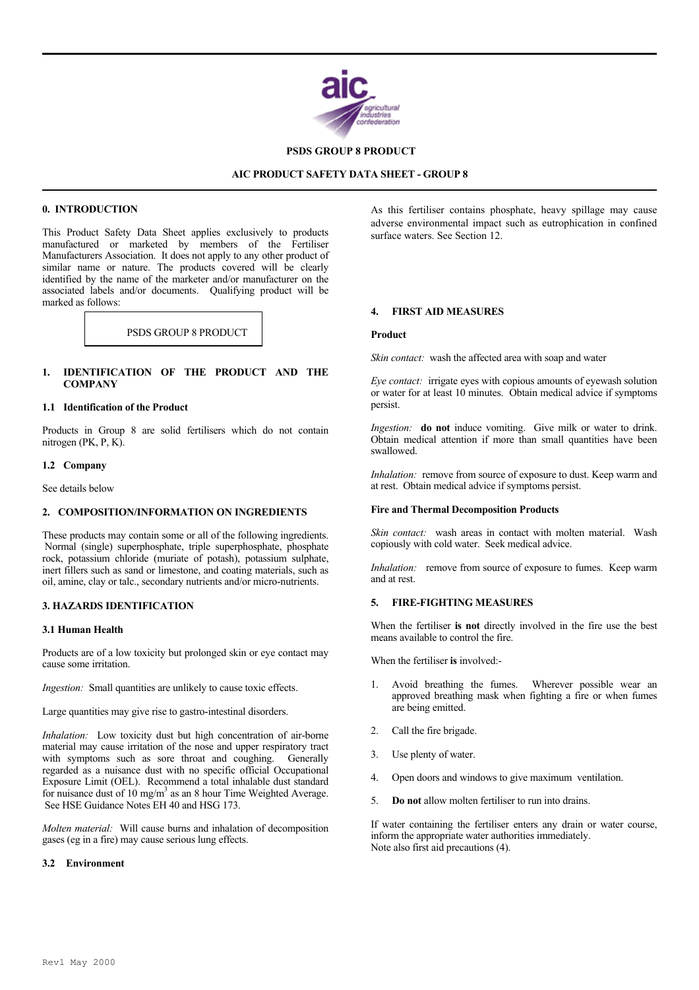

 **PSDS GROUP 8 PRODUCT**

## **AIC PRODUCT SAFETY DATA SHEET - GROUP 8**

# **0. INTRODUCTION**

l

l

This Product Safety Data Sheet applies exclusively to products manufactured or marketed by members of the Fertiliser Manufacturers Association. It does not apply to any other product of similar name or nature. The products covered will be clearly identified by the name of the marketer and/or manufacturer on the associated labels and/or documents. Qualifying product will be marked as follows:

PSDS GROUP 8 PRODUCT **Product** 

# **1. IDENTIFICATION OF THE PRODUCT AND THE COMPANY**

## **1.1 Identification of the Product**

Products in Group 8 are solid fertilisers which do not contain nitrogen (PK, P, K).

## **1.2 Company**

See details below

## **2. COMPOSITION/INFORMATION ON INGREDIENTS**

These products may contain some or all of the following ingredients. Normal (single) superphosphate, triple superphosphate, phosphate rock, potassium chloride (muriate of potash), potassium sulphate, inert fillers such as sand or limestone, and coating materials, such as oil, amine, clay or talc., secondary nutrients and/or micro-nutrients.

## **3. HAZARDS IDENTIFICATION**

## **3.1 Human Health**

Products are of a low toxicity but prolonged skin or eye contact may cause some irritation.

*Ingestion:* Small quantities are unlikely to cause toxic effects.

Large quantities may give rise to gastro-intestinal disorders.

*Inhalation:* Low toxicity dust but high concentration of air-borne material may cause irritation of the nose and upper respiratory tract with symptoms such as sore throat and coughing. Generally regarded as a nuisance dust with no specific official Occupational Exposure Limit (OEL). Recommend a total inhalable dust standard for nuisance dust of 10 mg/m<sup>3</sup> as an 8 hour Time Weighted Average. See HSE Guidance Notes EH 40 and HSG 173.

*Molten material:* Will cause burns and inhalation of decomposition gases (eg in a fire) may cause serious lung effects.

## **3.2 Environment**

As this fertiliser contains phosphate, heavy spillage may cause adverse environmental impact such as eutrophication in confined surface waters. See Section 12.

## **4. FIRST AID MEASURES**

*Skin contact:* wash the affected area with soap and water

*Eye contact:* irrigate eyes with copious amounts of eyewash solution or water for at least 10 minutes. Obtain medical advice if symptoms persist.

*Ingestion:* **do not** induce vomiting. Give milk or water to drink. Obtain medical attention if more than small quantities have been swallowed.

*Inhalation:* remove from source of exposure to dust. Keep warm and at rest. Obtain medical advice if symptoms persist.

## **Fire and Thermal Decomposition Products**

*Skin contact:* wash areas in contact with molten material. Wash copiously with cold water. Seek medical advice.

*Inhalation:* remove from source of exposure to fumes. Keep warm and at rest.

## **5. FIRE-FIGHTING MEASURES**

When the fertiliser **is not** directly involved in the fire use the best means available to control the fire.

When the fertiliser **is** involved:-

- 1. Avoid breathing the fumes. Wherever possible wear an approved breathing mask when fighting a fire or when fumes are being emitted.
- 2. Call the fire brigade.
- 3. Use plenty of water.
- 4. Open doors and windows to give maximum ventilation.
- 5. **Do not** allow molten fertiliser to run into drains.

If water containing the fertiliser enters any drain or water course, inform the appropriate water authorities immediately. Note also first aid precautions (4).